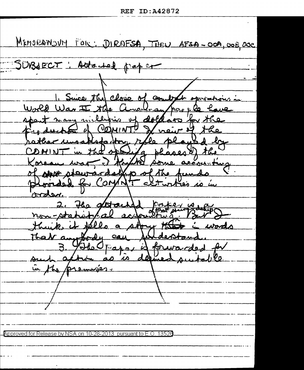MEMORANOUM FOR: DIRAFSA, THEU AFSA-OOA, OOR, OOC SUBJECT: Attached pape Suice the close o  $\boldsymbol{\omega}$ World War II the a  $k_{\text{A}}$ name give kris v ( ህ $\sigma$ New 4 Soorded 'OM N order <u>non-station</u> their m. i Novel That Ӕ  $\overline{u}$ The Approved for Release by NSA on 10-28-2013 pursuant to E.O. 13526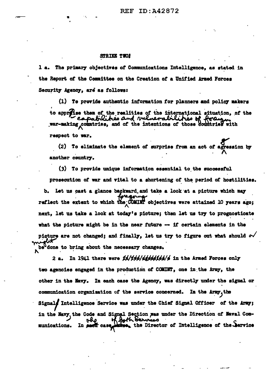#### STRIKE TWO!

1 a. The primary objectives of Communications Intelligence, as stated in the Report of the Committee on the Creation of a Unified Armed Forces Security Agency, are as follows:

(1) Te provide authentic information for planners and policy makers to appress them of the realities of the international situation, of the capabilities and vulnerabilities of f war-making countries, and of the intentions of those countries with respect to war.

To eliminate the element of surprise from an act of agression by  $(2)$ another country.

(3) To provide unique information essential to the successful prosecution of war and vital to a shortening of the period of hostilities. Let us cast a glance backward and take a look at a picture which may b. reflect the extent to which the COMINT objectives were attained 10 years ago; next, let us take a look at today's picture; then let us try to prognosticate what the picture might be in the near future  $-\sim$  if certain elements in the picture are not changed; and finally, let us try to figure out what should  $\sim$ be done to bring about the necessary changes.

In 1941 there were  $1/1/16/46/46/6/6$  in the Armed Forces only 2 a. two agencies engaged in the production of COMINT, one in the Army, the other in the Navy. In each case the Agency, was directly under the signal or communication organization of the service concerned. In the Army, the Signals Intelligence Service was under the Chief Signal Officer of the Army; in the Navy the Code and Signal Section was under the Direction of Naval Comof both Services the Director of Intelligence of the Service munications. In sect case,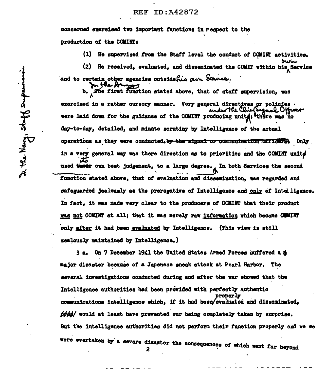concerned exercised two important functions in respect to the production of the COMINT:

> $\Omega$ He supervised from the Staff level the conduct of COMINT activities.

buri He received, evaluated, and disseminated the COMIT within his Service  $(2)$ and to certain other agencies outside his our Source.

the Armys The first function stated above, that of staff supervision, was b. exercised in a rather cursory manner. Very general directives or policies  $\cdot$ Ahe Chief Eignal Officer were laid down for the guidance of the COMINT producing units; there was no day-to-day, detailed, and minute scrutiny by Intelligence of the actual operations as they were conducted, by the signal or communication officered Only in a very general way was there direction as to priorities and the COMINT units used their own best judgement, to a large degree. In both Services the second function stated above, that of evaluation and dissemination, was regarded and safeguarded jealously as the prerogative of Intelligence and only of Intelligence. In fact, it was made very clear to the producers of COMINT that their product was not COMINT at all; that it was merely raw information which became COMINT only after it had been evaluated by Intelligence. (This view is still zealously maintained by Intelligence.)

3 a. On 7 December 1941 the United States Armed Forces suffered a m major disaster because of a Japanese sneak attack at Pearl Harbor. The several investigations conducted during and after the war showed that the Intelligence authorities had been provided with perfectly authentic nroner l<del>u</del> communications intelligence which. if it had been/evaluated and disseminated. prop would at least have prevented our being completely taken by surprise. But the intelligence authorities did not perform their function properly and we we were evertaken by a severe disaster the consequences of which went far beyond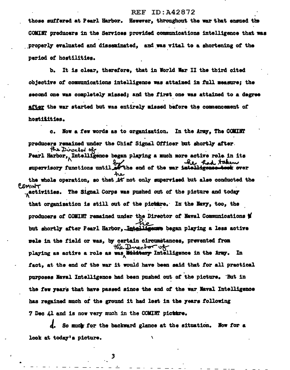those suffered at Pearl Harbor. However, throughout the war that ensued the COMINT producers in the Services provided communications intelligence that was properly evaluated and disseminated. and was vital to a shortening of the period of hostilities.

ъ. It is clear, therefore, that in World War II the third cited objective of communications intelligence was attained in full measure: the second one was completely missed; and the first one was attained to a degree after the war started but was entirely missed before the commencement of hostilities.

Now a few words as to organization. In the Army, The COMINT c. producers remained under the Chief Signal Officer but shortly after. the Director of Pearl Harbor, Intelligence began playing a much more active role in its had taken supervisory functions until at the end of the war intelligence-took ever توبد the whole operation, so that it not only supervised but also conducted the COMINT Aactivities. The Signal Corps was pushed out of the picture and today that organization is still out of the picture. In the Navy, too, the producers of COMINT remained under the Director of Naval Communications of but shortly after Pearl Harbor, Intelligence began playing a less active pole in the field or was, by certain circumstances, prevented from the Duestor of playing as active a role as was Wilthary Intelligence in the Army. In fact, at the end of the war it would have been said that for all practical purposes Naval Intelligence had been pushed out of the picture. But in the few years that have passed since the end of the war Naval Intelligence has regained much of the ground it had lost in the years following 7 Dec 41 and is now very much in the COMINT picture.

So much for the backward glance at the situation. Now for a look at today's picture.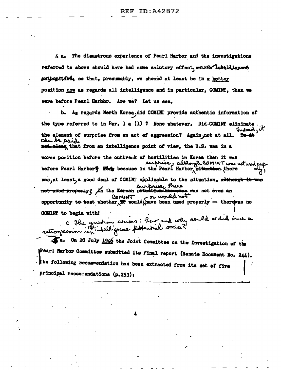4 a. The disastrous experience of Pearl Harbor and the investigations referred to above should have had some salutory effect, entitle latelligenet suthorities, so that, presumably, we should at least be in a better position now as regards all intelligence and in particular, COMINT, than we were before Pearl Harbbr. Are we? Let us see.

 $A_S$  regards North Korea, did COMINT provide authentic information of b. the type referred to in Par. 1 a  $(1)$  ? None whatever. Did COMINT eliminate Indeed, r the element of surprise from an act of aggression? Again, not at all. Can be said net-clean that from an intelligence point of view, the U.S. was in a worse position before the outbreak of hostilities in Korea than it was. surprise, although COMINT was not used prop. before Pearl Harbors. Feet because in the Pearl Harbor situation there was, at least, a good deal of COMINT applicable to the situation, although it was surprise, there not used preperly; In the Korean site **use was not even an** or would not COMINT opportunity to test whether it would have been used properly -- therewas no COMINT to begin with!

His guestion arrives : how and why could or did such a retrograssion intelligence potential occur?

Ta. On 20 July 1946 the Joint Committee on the Investigation of the Pearl Harbor Committee submitted its final report (Senate Document No. 244). The following recommendation has been extracted from its set of five principal recommendations (p.253):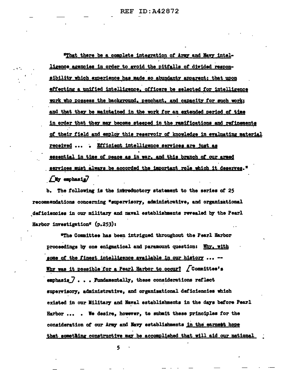ID: A42872 REF

"That there be a complete integration of Army and Navy intelligence agencies in order to avoid the pitfalls of divided responsibility which experience has made so abundanty apparent; that upon effecting a unified intelligence, officers be selected for intelligence work who possess the background, penchant, and capacity for such work; and that they be maintained in the work for an extended period of time in order that they may become steeped in the ramifications and refinements of their field and employ this reservoir of knowledge in evaluating material received ... . Efficient intelligence services are just as essential in time of peace as in war, and this branch of our armed services must always be accorded the important role which it deserves.  $\angle$  My emphasis/

The following is the introductory statement to the series of 25 Ъ. recommendations concerning "supervisory, administrative, and organizational deficiencies in our military and naval establishments revealed by the Pearl Harbor investigation<sup>e</sup>  $(p, 253)$ :

"The Committee has been intrigued throughout the Pearl Harbor proceedings by one enigmatical and paramount question: Why. with some of the finest intelligence available in our history ... --Why was it possible for a Pearl Harbor to occur? / Committee's emphasis  $\overline{7}$ ... Fundamentally, these considerations reflect supervisory. administrative, and organizational deficiencies which existed in our Military and Naval establishments in the days before Pearl Harbor ... . We desire, however, to submit these principles for the consideration of our Army and Navy establishments in the earnest hope that something constructive may be accomplished that will aid our national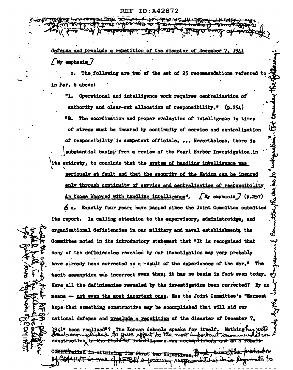tox postel

**COMME DEPOTE** 

Aranga Trai

defense and preclude a repetition of the disaster of December 7, 1941  $/$  My emphasis  $/$ 

The following are two of the set of 25 recommendations referred to in Par. b above:

"1. Operational and intelligence work requires centralization of authority and clear-cut allocation of responsibility." (p.254) "S. The coordination and proper evaluation of intelligence in times of stress must be insured by continuity of service and centralization of responsibility in competent officials. ... Nevertheless, there is substantial basis. from a review of the Pearl Harbor Investigation in

 $\mathbf{\vec{r}}$ 

the as to "when their

its entirety, to conclude that the gystem of handling intelligence was seriously at fault and that the security of the Nation can be insured enly through continuity of service and centralization of responsibility an those charged with handling intelligence". (My emphasis ) (p.257)

屑 Exactly four years have passed since the Joint Committee submitted its report. In calling attention to the supervisory, administratige, and organizational deficiencies in our military and naval establishmenta the Committee noted in its introductory statement that "It is recognized that many of the deficiencies revealed by our investigation may very probably have already been corrected as a result of the experiences of the war." The tacit assumption was incorrect even then; it has no basis in fact even today. Have all the deficiencies revealed by the investigation been corrected? By no means -- not even the most important ones. Has the Joint Committee's "Barnest hope that something constructive may be accomplished that will aid our national defense and preclude a repetition of the disaster of December 7, 1941" been realized"? The Korean debacle speaks for itself. Nothing he  $ADA$ ve aker in T  $\sim$   $\sim$ constructive <del>in the field of intelligence</del> <del>accemelished.</del> and as a result

xttaining its fir **TOSTORIA** ستحملك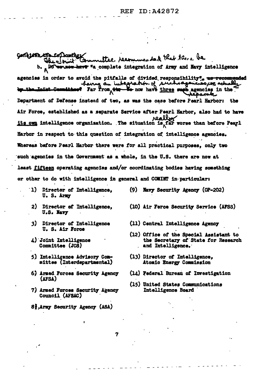Constate the following tter, recommended that there, be  $\Omega$ Hurlow b. Boweves have "a complete integration of Army and Navy intelligence agencies in order to avoid the pitfalls of divided responsibility", as recommended having an integration of such againso, we recommended Jeiparak Department of Defense instead of two, as was the case before Pearl Harbor: the Air Force, established as a separate Service after Pearl Harbor, also had to have معنلاهه its own intelligence organization. The situation is far worse than before Pearl Harbor in respect to this question of integration of intelligence agencies. Whereas before Pearl Harbor there were for all practical purposes, only two such agencies in the Government as a whole, in the U.S. there are now at least fifteen operating agencies and/or coordinating bodies having something or other to do with intelligence in general and COMINT in particular:

- 1) Director of Intelligence. U. S. Army
- 2) Director of Intelligence, U.S. Navy
- 3) Director of Intelligence **U. S. Air Force**
- 4) Joint Intelligence Committee (JCS)
- 5) Intelligence Advisory Committee (Interdepartmental)
- 6) Armed Forces Security Agency (AFSA)
- 7) Armed Forces Security Agency Council (AFSAC)
- 8) Army Security Agency (ASA)
- (9) Navy Security Agency (OP-202)
- (10) Air Ferce Security Service (AFSS)
- (11) Central Intelligence Agency
- (12) Office of the Special Assistant to the Secretary of State for Research and Intelligence.
- (13) Director of Intelligence, Atomic Energy Commission
- (14) Federal Bureau of Investigation
- (15) United States Communications Intelligence Board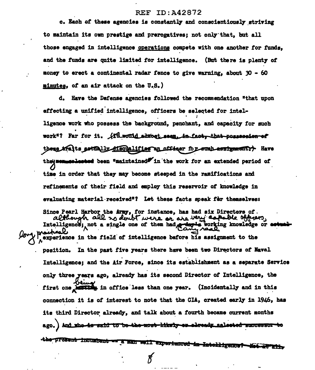c. Each of these agencies is constantly and conscientiously striving to maintain its own prestige and prerogatives; not only that, but all those engaged in intelligence operations compete with one another for funds. and the funds are quite limited for intelligence. (But there is plenty of money to erect a continental radar fence to give warning, about 30 - 60 minutes, of an air attack on the U.S.)

d. Have the Defense agencies followed the recommendation "that upon effecting a unified intelligence, officers be selected for intelligence work who possess the background, penchant, and capacity for such work"? Far for it. (ItLwould admost seem in fact, that possession of there traits setually discussions an officer for such essignments) Have they members are the maintained in the work for an extended period of time in order that they may become steeped in the ramifications and refinements of their field and employ this reservoir of knowledge in evaluating material received"? Let these facts speak for themselves: Since Pearl Harbor the Army, for instance, has had six Directors of. although all no doubt were or are very capable officers, Intelligence; not a single one of them had a day i working knowledge or actu experience in the field of intelligence before his assignment to the position. In the past five years there have been two Directors of Naval Intelligence; and the Air Force, since its establishment as a separate Service only three years ago, already has its second Director of Intelligence, the first one less in office less than one year. (Incidentally and in this connection it is of interest to note that the CIA, created early in 1946, has its third Director already, and talk about a fourth became current months And who is said to be the most likely er already as seted successor **ago.** ) the present incumbent as a man well experienced in Intelligence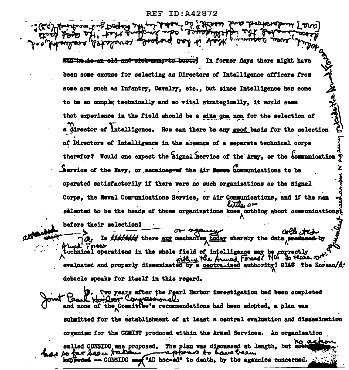#### ID:A42872 REF.

. زمبر ۱۹۳ ه

 $\mu_{\rm star}$  as  $\mu_{\rm star}$ 

tokers bus

<del>old and sick muny to boot; )</del> In former days there might have been some excuse for selecting as Directors of Intelligence officers from Werkelchy some arm such as Infantry, Cavalry, etc., but since Intelligence has come to be so complax technically and so vital strategically, it would seem that experience in the field should be a sine qua non for the selection of a director of intelligence. How can there be any good basis for the selection of Directors of Intelligence in the absence of a separate technical corps therefor? Would one expect the signal Service of the Army, or the communication Service of the Navy, or services-of the Air Fewse communications to be operated satisfactorily if there were no such organizations as the Signal Corps, the Naval Communications Service, or Air Communications, and if the men selected to be the heads of those organizations knew nothing about communications? before their selection? Is therefort there any mechanism today whereby the data product technical operations in the whole field of intelligence may be correctly within the Armed Forces? Not to there a evaluated and properly disseminated by a centralized authority? GIA? The Korean/ $A_t$ debacle speaks for itself in this regard.

Two years after the Pearl Harbor investigation had been completed and none of the Committee's recommendations had been adopted, a plan was submitted for the establishment of at least a central evaluation and dissemination organism for the COMINT produced within the Armed Services. An organization called CONSIDO was proposed. The plan was discussed at length, but ne **rate** appoint to have been - CONSIDO was walk hoc-ed" to death, by the agencies concerned.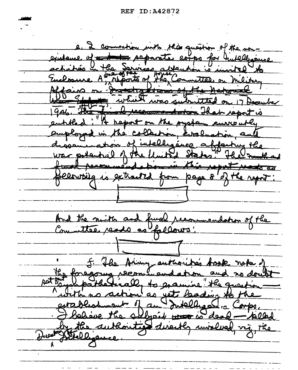the wo  $2\nu$ elboouge uber supija 1  $8'$ dy <u>pa</u> And<br>Com m of the anne <u>reads</u> as <u> Cows</u> <u>Қ</u>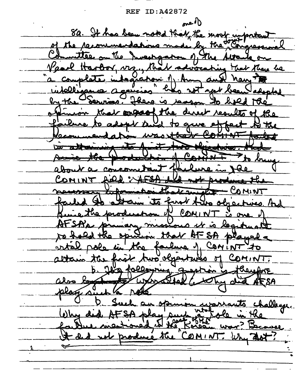oneof 8a. It has bear. 1 the me here he Vaarl Hay Wayn <u>IRQ</u>  $\bullet$ ZG.  $\overline{u}$  $\Omega$ INT **VINT** ies, And the jois يبصطه AF SA  $#K_0$  of Raye Can <u>مو</u> sel. ۸۹ با  $CMN$ altain The f سی  $\sqrt{1 + \epsilon}$ ويك trenal alva B <u>δΑ</u> ۸. ۸ <u> Challeye.</u> s di  ${\cal R}$ پ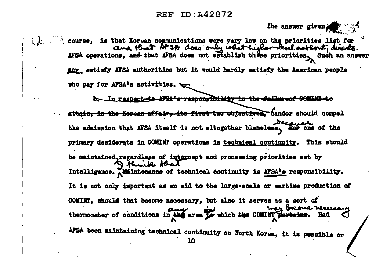## **REF TD: 342872**

The answer given.

 $\mathbb{R}^3$  course. is that Korean communications were very low on the priorities list for and that AFSA does only what hisher-kevel authority directed AFSA operations, and that AFSA does not establish these priorities. Such an answer may satisfy AFSA authorities but it would hardly satisfy the American people who pay for AFSA's activities. b. In respect to AFGA's responsibility in the failureof COMINP to attain, in the Korean affair, its first two objectives, tandor should compel because the admission that AFSA itself is not altogether blameless, Tor one of the primary desiderata in COMINT operations is technical continuity. This should be maintained regardless of intercept and processing priorities set by A thence that Intelligence. Waintenance of technical continuity is AFSA's responsibility. It is not only important as an aid to the large-scale or wartime production of COMINT, should that become necessary, but also it serves as a sort of mas Bearne Merssaa thermometer of conditions in the area to which the COMINT pertains. Had AFSA been maintaining technical continuity on North Korea, it is pessible or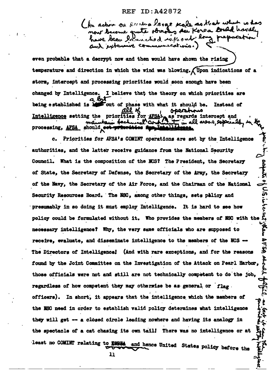An action one finish a logal scale as that which is has now become quite obvious ser Koroa could havdle we been launched introduct long proposed and extensive communications.)

even probable that a decrypt now and then would have ahown the rising temperature and direction in which the wind was blowing. (Upon indications of a storm, intercept and processing priorities would soon enough have been changed by Intelligence. I believe that the theory on which priorities are being established is le out of phase with what it should be. Instead of Intelligence setting the priorities for AFSA as regards intercept and all aroa repea processing, AFSA should est priorities for

Pacinty appears of U.S. interactively c. Priorities for AFSA's COMINT operations are set by the Intelligence authorities, and the latter receive guidance from the National Security Council. What is the composition of the NGS? The President, the Secretary of State, the Secretary of Defense, the Secretary of the Army, the Secretary of the Navy, the Secretary of the Air Force, and the Chairman of the National Security Resources Board. The NSC, among other things, sets pelicy and presumably in so doing it must employ Intelligence. It is hard to see how policy could be formulated without it. Who provides the members of NSC with the necessary intelligence? Why, the very same afficials who are supposed to receive, evaluate, and disseminate intelligence to the members of the NCS --The Directors of Intelligence! (And with rare exceptions, and for the reasons found by the Joint Committee on the Investigation of the Attack on Pearl Harbor, those officials were not and still are not technically competent to do the job, regardless of how competent they may otherwise be as general or flag. officers). In short, it appears that the intelligence which the members of the NSC need in order to establish valid policy determines what intelligence they will get -- a closed circle leading nowhere and having its analogy in the spectacle of a cat chasing its own tail! There was no intelligence or at least no COMINT relating to KOBBA and hence United States policy before the

**PHSH** 

きょうやく そだす

 $\mathbf{u}$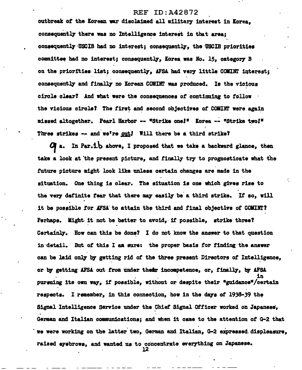outbreak of the Korean war disclaimed all military interest in Korea, consequently there was no Intelligence interest in that area; consequently ·USCIB had no interest; consequently, the ·USCIB priorities committee had no interest; consequently, Korea was No. 15, category B on the priorities list; consequently, AFSA had very little COMINT interest; consequently and finally no Korean COMINT was produced. Is the vicious circle clear! And what were the consequences of continuing to follow · the vicious circle? The first and second objectives of COMINT were again missed altogether. Pearl Harbor -- "Strike one!" Korea -- "Strike two!" Three strikes -- and we're out! Will there be a third strike?

 $Q$  a. In Par.1b above, I proposed that we take a backward glance, then take a look at the present picture, and finally try to prognosticate what the future picture might look like unless certain changes are made in the situation. One thing is clear. The situation is one which gives rise to the very definite fear that there may easily be a third strike. If so, will it be possible for AFSA to attain the third and final objective of COMINT? Perhaps. Might it not be better to avoid, if possible, strike three? Certainly. How can this be done? I do not know the answer to that question in ·detail. But *ot* this I aa sure: the proper basis for finding the answer can be laid only by getting rid of the three present Directors of Intelligence, or by getting AFSA out from under the incompetence, or, finally, by AFSA pursuing its own way, if possible, without or despite their "guidance"/certain respects. I remember, in this connection, how in the days of 1938-39 the Signal Intelligence Service under the Chief Signal Officer worked on Japanese. German and Italian communications; and when it came to the attention of G-2 that we were working on the latter two, German and Italian, G-2 expressed displeasure, raised eyebrows, and wanted us to concentrate everything *on* Japanese.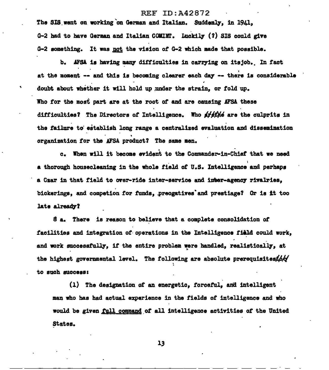#### **ID: A42872**  $REF$

The SIS went on working on German and Italian. Suddenly, in 1941, G-2 had to have German and Italian COMINT. Luckily (?) SIS could give  $G-2$  something. It was not the vision of  $G-2$  which made that possible.

b. AFSA is having many difficulties in carrying on itsjob. In fact at the moment -- and this is becoming clearer each day -- there is considerable doubt about whether it will hold up under the strain, or fold up. Who for the most part are at the root of and are causing AFSA these difficulties? The Directors of Intelligence. Who are the culere in the failure to establish long range a centralized evaluation and dissemination organization for the AFSA product? The same men.

c. When will it become evident to the Commander-in-Chief that we need a thorough housecleaning in the whole field of U.S. Intelligence and perhaps a Czar in that field to over-ride inter-service and inter-agency rivalries. bickerings, and competion for funds, preogatives and prestiage? Or is it too late already?

8 a. There is reason to believe that a complete consolidation of facilities and integration of operations in the Intelligence field could work, and work successfully, if the entire problem were handled, realistically. at the highest governmental level. The following are absolute prerequisitestb/ to such success:

(1) The designation of an energetic, forceful, and intelligent man who has had actual experience in the fields of intelligence and who would be given full command of all intelligence activities of the United States.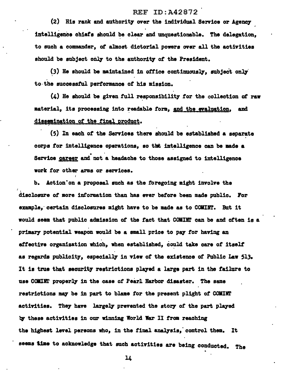# REF ID:A42B72

 $(2)$  His rank and authority over the individual Service or Agency intelligence chiefs should be clear and unquestionable. The delegation, to such a commander, of almost dictorial powers over all the activities should be subject only to the authority of the President.

 $(3)$  He should be maintained in office continuously, subject only to the successful performance of his mission.

(4) He should be given full r~sponsibilit7 *tor* the collection *ot* raw material, its processing into readable form, and the evaluation, and dissemination of the final product.

(5) In each *ot* the Services there should be established a separate corps for intelligence operations, so that intelligence can be made a Service career and not a headache to those assigned to intelligence work for other arms or services.

b. Action· on a proposal such as the foregoing might involve the disclosure of more information than has ever before been made public. For example, certain disclosures might have to be made as to COMINT. But it would seem that public admission *ot* the fact that COMill' can be and otten is a primary potential weapon would be a small price to pay for having an effective organization which, when established, could take care of itself as regards publicity, especially in view of the existence of Public Law 513. It is true that security restrictions played a large part in the failure to use COMINT properly in the case of Pearl Harbor disaster. The same restrictions may be in part to blame for the present plight of COMINT activities. They have largely prevented the story of the part played by these activities in our winning World War II from reaching the highest level persons who, in the final analysis, control them. It seems time to acknowledge that such activities are being conducted. The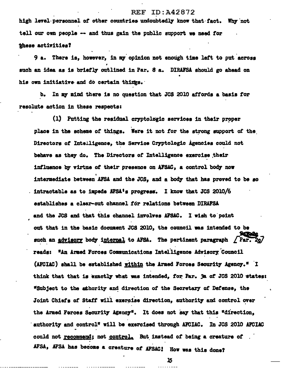high level personnel of other countries undoubtedly know that fact. Why not tell our own people -- and thus gain the public support we need for these activities?

9 a. There is, however, in my opinion not enough time left to put across such an idea as is briefly outlined in Par. 8 a. DIRAFSA should go ahead on his own initiative and do certain things.

b. In my mind there is no question that JCS 2010 affords a basis for resolute action in these respects:

(1) Putting the residual cryptologic services in their proper place in the scheme of things. Were it not for the strong support of the Directors of Intelligence, the Service Cryptologic Agencies could not behave as they do. The Directors of Intelligence exercise their influence by virtue of their presence on AFSAC, a control body now intermediate between AFSA and the JCS, and a body that has proved to be so intractable as to impede AFSA's progress. I know that JCS 2010/6 establishes a clear-cut channel for relations between DIRAFSA and the JCS and that this channel involves AFSAC. I wish to point out that in the basic document JCS 2010, the council was intended to be such an advisory body internal to AFSA. The pertinent paragraph  $\int$  Par. reads: "An Armed Forces Communications Intelligence Advisory Council (AFCIAC) shall be established within the Armed Forces Security Agency." I think that that is exactly what was intended, for Par. 3a of JCS 2010 states: "Subject to the athority and direction of the Secretary of Defense, the Joint Chiefs of Staff will exercise direction, authority and control over the Armed Forces Security Agency". It does not say that this "direction, authority and control" will be exercised through AFCIAC. In JCS 2010 AFCIAC could not recommend; not control. But instead of being a creature of . AFSA, AFSA has become a creature of AFSAC! How was this done?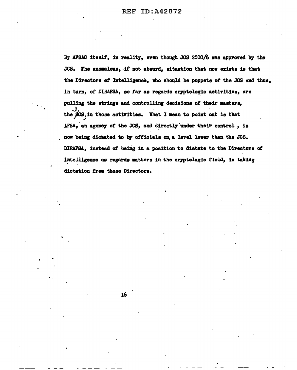By AFSAC itself, in reality, even though JCS 2010/6 was approved by the JCS. The anomalous, if not absurd, situation that now exists is that the Directors of Intelligence, who should be puppets of the JCS and thus, in turn, of DIRAFSA, so far as regards cryptologic activities, are pulling the strings and controlling decisions of their masters, the SCS in those activities. What I mean to point out is that AFSA, an agency of the JCS, and directly under their control, is now being dictated to by officials on a level lower than the JCS. DIRAFSA, instead of being in a position to dictate to the Directors of Intelligence as regards matters in the cryptologic field, is taking dictation from these Directors.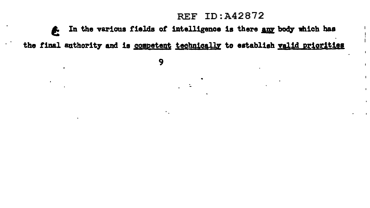In the various fields of intelligence is there any body which has  $\mathbf{f}$ 

the final authority and is competent technically to establish valid priorities

9

 $\mathbf{r}_{\rm{in}}$